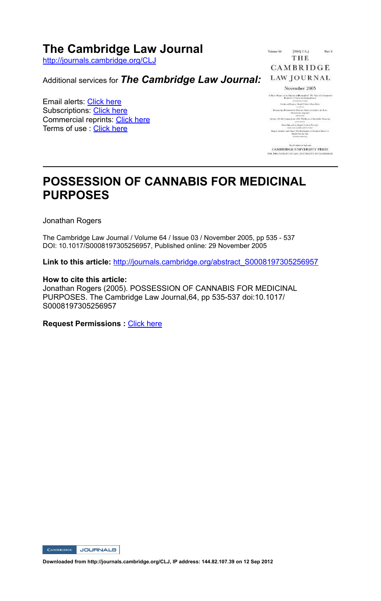## **The Cambridge Law Journal**

http://journals.cambridge.org/CLJ

Additional services for *The Cambridge Law Journal:*

Email alerts: Click here Subscriptions: Click here Commercial reprints: Click here Terms of use : Click here

Part 3 THE CAMBRIDGE

#### November 2005

A financial<br>cases a the Opinion of  $\pmb{H}$  and  $\pmb{H}(\mathbf{r})$  .<br>The Tates of a functionistic  $\label{eq:1}$  . <br> When and Prospect to the South of Table 1 and Table 1 and<br>  $\sigma$  $\begin{array}{l} \text{a (1011)}\\ \text{For example, if a measure of vertices are fixed, and }\\ \text{the solution of }\\ \text{for }\\ \text{for }\\ \text{for }\\ \text{for }\\ \text{for }\\ \text{for }\\ \text{for }\\ \text{for }\\ \text{for }\\ \text{for }\\ \text{for }\\ \text{for }\\ \text{for }\\ \text{for }\\ \text{for }\\ \text{for }\\ \text{for }\\ \text{for }\\ \text{for }\\ \text{for }\\ \text{for }\\ \text{for }\\ \text{for }\\ \text{for }\\ \text{for }\\ \text{for }\\ \text{for }\\ \text{for }\\ \text{for }\\ \text{$ Each Discount in Eight Criterial Tractory want will contain to the Container Service Marine of State of Marine or Engine Counter Lies

CAMBRIDGE UNIVERSITY PRESS FOR THE GAS LITTLE

# **POSSESSION OF CANNABIS FOR MEDICINAL PURPOSES**

Jonathan Rogers

The Cambridge Law Journal / Volume 64 / Issue 03 / November 2005, pp 535 - 537 DOI: 10.1017/S0008197305256957, Published online: 29 November 2005

**Link to this article:** http://journals.cambridge.org/abstract\_S0008197305256957

#### **How to cite this article:**

Jonathan Rogers (2005). POSSESSION OF CANNABIS FOR MEDICINAL PURPOSES. The Cambridge Law Journal, 64, pp 535-537 doi:10.1017/ S0008197305256957

**Request Permissions : Click here** 

CAMBRIDGE JOURNALS

**Downloaded from http://journals.cambridge.org/CLJ, IP address: 144.82.107.39 on 12 Sep 2012**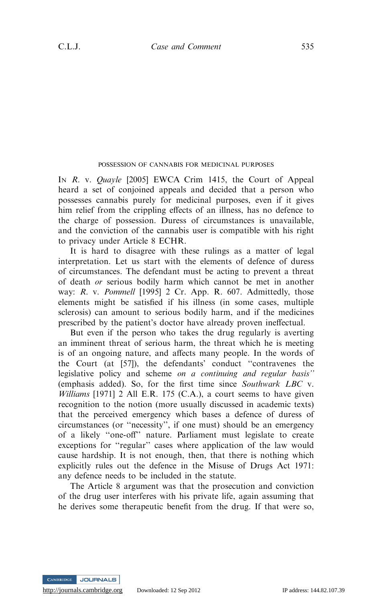### POSSESSION OF CANNABIS FOR MEDICINAL PURPOSES

IN R. v. Quayle [2005] EWCA Crim 1415, the Court of Appeal heard a set of conjoined appeals and decided that a person who possesses cannabis purely for medicinal purposes, even if it gives him relief from the crippling effects of an illness, has no defence to the charge of possession. Duress of circumstances is unavailable, and the conviction of the cannabis user is compatible with his right to privacy under Article 8 ECHR.

It is hard to disagree with these rulings as a matter of legal interpretation. Let us start with the elements of defence of duress of circumstances. The defendant must be acting to prevent a threat of death or serious bodily harm which cannot be met in another way: R. v. Pommell [1995] 2 Cr. App. R. 607. Admittedly, those elements might be satisfied if his illness (in some cases, multiple sclerosis) can amount to serious bodily harm, and if the medicines prescribed by the patient's doctor have already proven ineffectual.

But even if the person who takes the drug regularly is averting an imminent threat of serious harm, the threat which he is meeting is of an ongoing nature, and affects many people. In the words of the Court (at [57]), the defendants' conduct ''contravenes the legislative policy and scheme on a continuing and regular basis'' (emphasis added). So, for the first time since Southwark LBC v. Williams [1971] 2 All E.R. 175 (C.A.), a court seems to have given recognition to the notion (more usually discussed in academic texts) that the perceived emergency which bases a defence of duress of circumstances (or ''necessity'', if one must) should be an emergency of a likely ''one-off'' nature. Parliament must legislate to create exceptions for ''regular'' cases where application of the law would cause hardship. It is not enough, then, that there is nothing which explicitly rules out the defence in the Misuse of Drugs Act 1971: any defence needs to be included in the statute.

The Article 8 argument was that the prosecution and conviction of the drug user interferes with his private life, again assuming that he derives some therapeutic benefit from the drug. If that were so,

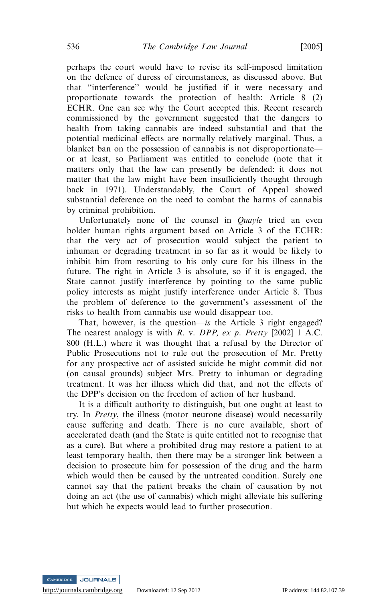perhaps the court would have to revise its self-imposed limitation on the defence of duress of circumstances, as discussed above. But that ''interference'' would be justified if it were necessary and proportionate towards the protection of health: Article 8 (2) ECHR. One can see why the Court accepted this. Recent research commissioned by the government suggested that the dangers to health from taking cannabis are indeed substantial and that the potential medicinal effects are normally relatively marginal. Thus, a blanket ban on the possession of cannabis is not disproportionate or at least, so Parliament was entitled to conclude (note that it matters only that the law can presently be defended: it does not matter that the law might have been insufficiently thought through back in 1971). Understandably, the Court of Appeal showed substantial deference on the need to combat the harms of cannabis by criminal prohibition.

Unfortunately none of the counsel in *Quayle* tried an even bolder human rights argument based on Article 3 of the ECHR: that the very act of prosecution would subject the patient to inhuman or degrading treatment in so far as it would be likely to inhibit him from resorting to his only cure for his illness in the future. The right in Article 3 is absolute, so if it is engaged, the State cannot justify interference by pointing to the same public policy interests as might justify interference under Article 8. Thus the problem of deference to the government's assessment of the risks to health from cannabis use would disappear too.

That, however, is the question—is the Article 3 right engaged? The nearest analogy is with R. v. DPP, ex p. Pretty [2002] 1 A.C. 800 (H.L.) where it was thought that a refusal by the Director of Public Prosecutions not to rule out the prosecution of Mr. Pretty for any prospective act of assisted suicide he might commit did not (on causal grounds) subject Mrs. Pretty to inhuman or degrading treatment. It was her illness which did that, and not the effects of the DPP's decision on the freedom of action of her husband.

It is a difficult authority to distinguish, but one ought at least to try. In Pretty, the illness (motor neurone disease) would necessarily cause suffering and death. There is no cure available, short of accelerated death (and the State is quite entitled not to recognise that as a cure). But where a prohibited drug may restore a patient to at least temporary health, then there may be a stronger link between a decision to prosecute him for possession of the drug and the harm which would then be caused by the untreated condition. Surely one cannot say that the patient breaks the chain of causation by not doing an act (the use of cannabis) which might alleviate his suffering but which he expects would lead to further prosecution.